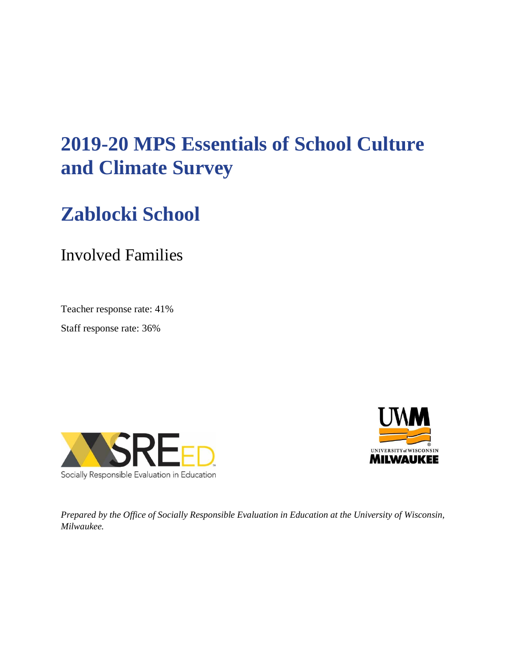# **2019-20 MPS Essentials of School Culture and Climate Survey**

# **Zablocki School**

# Involved Families

Teacher response rate: 41%

Staff response rate: 36%





*Prepared by the Office of Socially Responsible Evaluation in Education at the University of Wisconsin, Milwaukee.*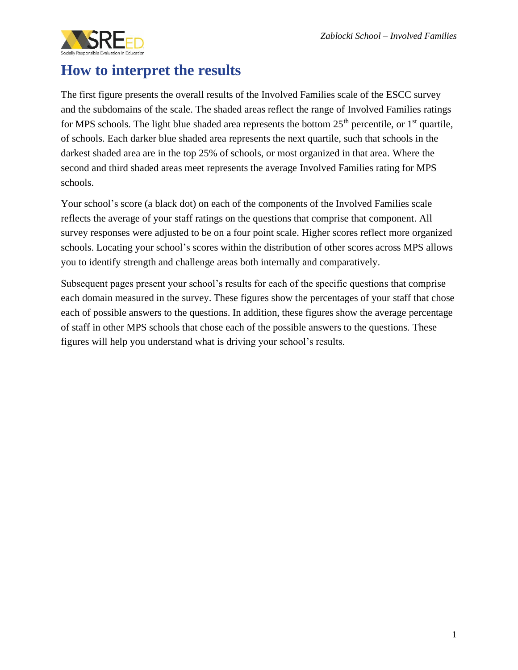

## **How to interpret the results**

The first figure presents the overall results of the Involved Families scale of the ESCC survey and the subdomains of the scale. The shaded areas reflect the range of Involved Families ratings for MPS schools. The light blue shaded area represents the bottom  $25<sup>th</sup>$  percentile, or  $1<sup>st</sup>$  quartile, of schools. Each darker blue shaded area represents the next quartile, such that schools in the darkest shaded area are in the top 25% of schools, or most organized in that area. Where the second and third shaded areas meet represents the average Involved Families rating for MPS schools.

Your school's score (a black dot) on each of the components of the Involved Families scale reflects the average of your staff ratings on the questions that comprise that component. All survey responses were adjusted to be on a four point scale. Higher scores reflect more organized schools. Locating your school's scores within the distribution of other scores across MPS allows you to identify strength and challenge areas both internally and comparatively.

Subsequent pages present your school's results for each of the specific questions that comprise each domain measured in the survey. These figures show the percentages of your staff that chose each of possible answers to the questions. In addition, these figures show the average percentage of staff in other MPS schools that chose each of the possible answers to the questions. These figures will help you understand what is driving your school's results.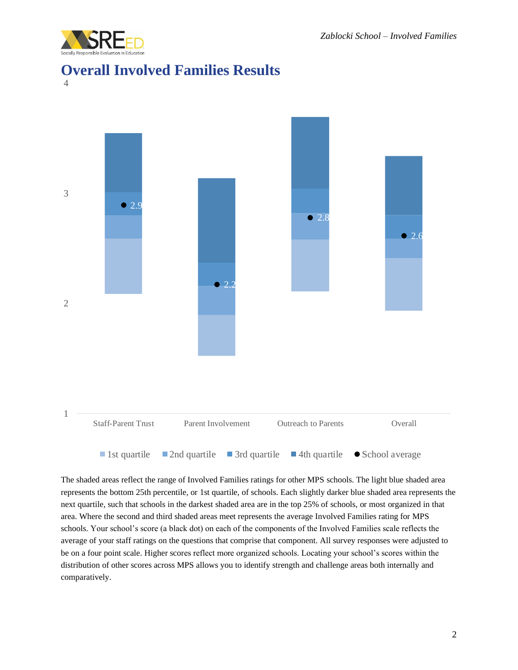

### **Overall Involved Families Results**

4



The shaded areas reflect the range of Involved Families ratings for other MPS schools. The light blue shaded area represents the bottom 25th percentile, or 1st quartile, of schools. Each slightly darker blue shaded area represents the next quartile, such that schools in the darkest shaded area are in the top 25% of schools, or most organized in that area. Where the second and third shaded areas meet represents the average Involved Families rating for MPS schools. Your school's score (a black dot) on each of the components of the Involved Families scale reflects the average of your staff ratings on the questions that comprise that component. All survey responses were adjusted to be on a four point scale. Higher scores reflect more organized schools. Locating your school's scores within the distribution of other scores across MPS allows you to identify strength and challenge areas both internally and comparatively.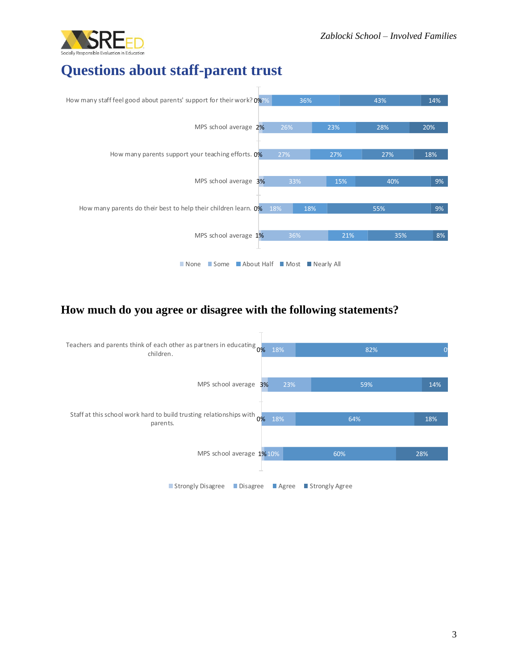

## **Questions about staff-parent trust**



#### **How much do you agree or disagree with the following statements?**

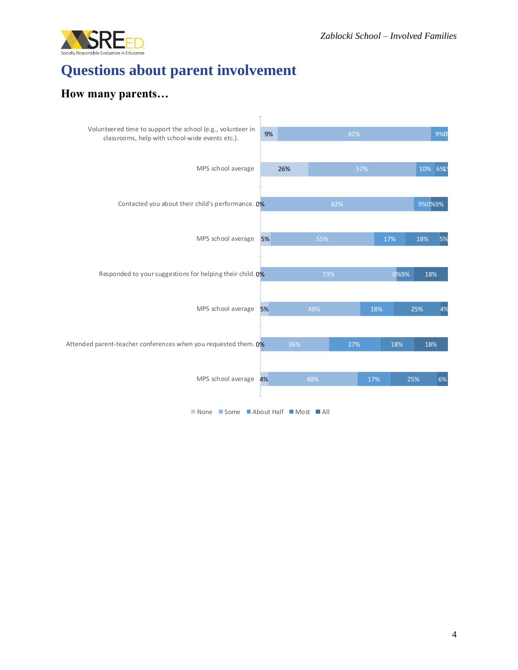

# **Questions about parent involvement**

#### **How many parents…**



■ None ■ Some ■ About Half ■ Most ■ All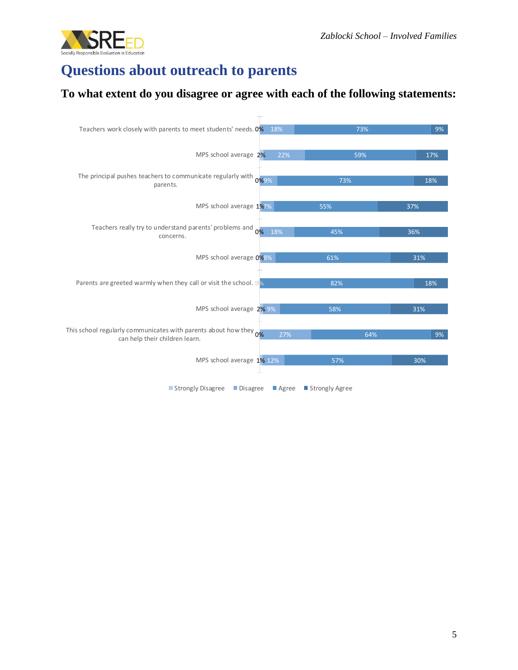

## **Questions about outreach to parents**

#### **To what extent do you disagree or agree with each of the following statements:**